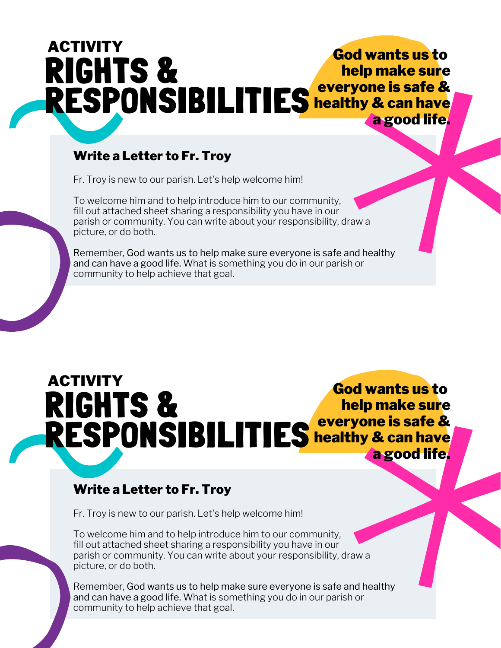## RIGHTS & RESPONSIBILITIES Reveryone is safe & God wants us to help make sure healthy & can have a good life. ACTIVITY

## Write a Letter to Fr. Troy

Fr. Troy is new to our parish. Let's help welcome him!

To welcome him and to help introduce him to our community, fill out attached sheet sharing a responsibility you have in our parish or community. You can write about your responsibility, draw a picture, or do both.

Remember, God wants us to help make sure everyone is safe and healthy and can have a good life. What is something you do in our parish or community to help achieve that goal.

RIGHTS & RESPONSIBILITIES God wants us to help make sure everyone is safe & healthy & can have a good life. ACTIVITY

## Write a Letter to Fr. Troy

Fr. Troy is new to our parish. Let's help welcome him!

To welcome him and to help introduce him to our community, fill out attached sheet sharing a responsibility you have in our parish or community. You can write about your responsibility, draw a picture, or do both.

Remember, God wants us to help make sure everyone is safe and healthy and can have a good life. What is something you do in our parish or community to help achieve that goal.